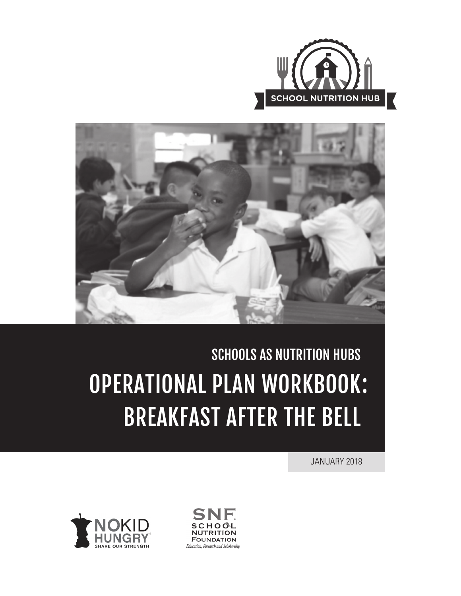



# SCHOOLS AS NUTRITION HUBS OPERATIONAL PLAN WORKBOOK :BREAKFAST AFTER THE BELL

JANUARY 2018



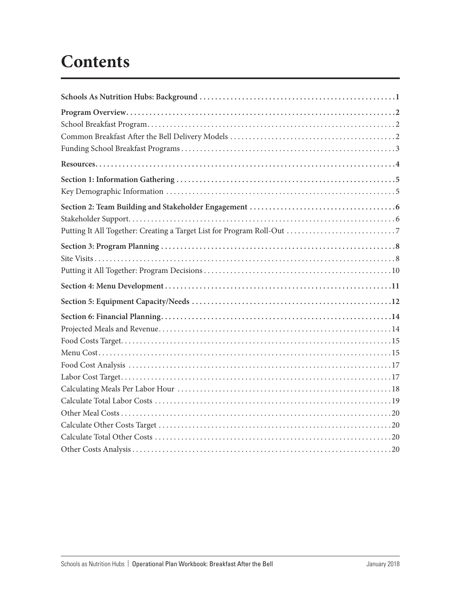# **Contents**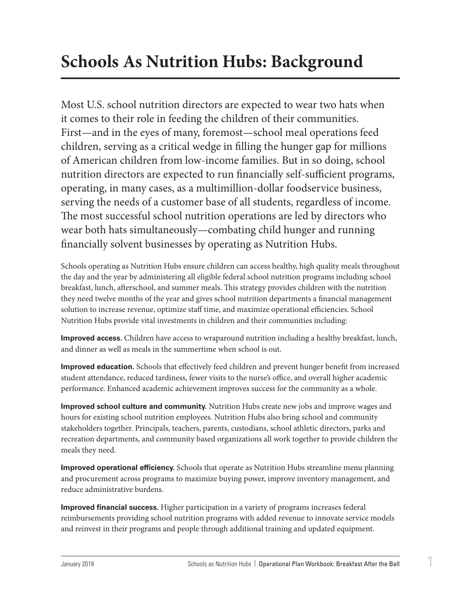# <span id="page-2-0"></span>**Schools As Nutrition Hubs: Background**

Most U.S. school nutrition directors are expected to wear two hats when it comes to their role in feeding the children of their communities. First—and in the eyes of many, foremost—school meal operations feed children, serving as a critical wedge in filling the hunger gap for millions of American children from low-income families. But in so doing, school nutrition directors are expected to run financially self-sufficient programs, operating, in many cases, as a multimillion-dollar foodservice business, serving the needs of a customer base of all students, regardless of income. The most successful school nutrition operations are led by directors who wear both hats simultaneously—combating child hunger and running financially solvent businesses by operating as Nutrition Hubs.

Schools operating as Nutrition Hubs ensure children can access healthy, high quality meals throughout the day and the year by administering all eligible federal school nutrition programs including school breakfast, lunch, afterschool, and summer meals. This strategy provides children with the nutrition they need twelve months of the year and gives school nutrition departments a financial management solution to increase revenue, optimize staff time, and maximize operational efficiencies. School Nutrition Hubs provide vital investments in children and their communities including:

**Improved access.** Children have access to wraparound nutrition including a healthy breakfast, lunch, and dinner as well as meals in the summertime when school is out.

**Improved education.** Schools that effectively feed children and prevent hunger benefit from increased student attendance, reduced tardiness, fewer visits to the nurse's office, and overall higher academic performance. Enhanced academic achievement improves success for the community as a whole.

**Improved school culture and community.** Nutrition Hubs create new jobs and improve wages and hours for existing school nutrition employees. Nutrition Hubs also bring school and community stakeholders together. Principals, teachers, parents, custodians, school athletic directors, parks and recreation departments, and community based organizations all work together to provide children the meals they need.

**Improved operational efficiency.** Schools that operate as Nutrition Hubs streamline menu planning and procurement across programs to maximize buying power, improve inventory management, and reduce administrative burdens.

**Improved financial success.** Higher participation in a variety of programs increases federal reimbursements providing school nutrition programs with added revenue to innovate service models and reinvest in their programs and people through additional training and updated equipment.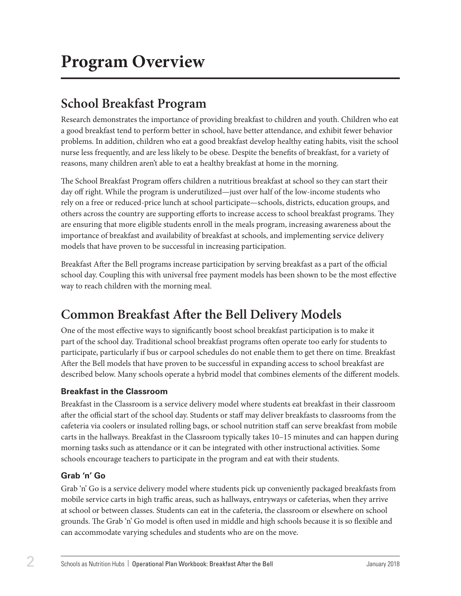# <span id="page-3-0"></span>**School Breakfast Program**

Research demonstrates the importance of providing breakfast to children and youth. Children who eat a good breakfast tend to perform better in school, have better attendance, and exhibit fewer behavior problems. In addition, children who eat a good breakfast develop healthy eating habits, visit the school nurse less frequently, and are less likely to be obese. Despite the benefits of breakfast, for a variety of reasons, many children aren't able to eat a healthy breakfast at home in the morning.

The School Breakfast Program offers children a nutritious breakfast at school so they can start their day off right. While the program is underutilized—just over half of the low-income students who rely on a free or reduced-price lunch at school participate—schools, districts, education groups, and others across the country are supporting efforts to increase access to school breakfast programs. They are ensuring that more eligible students enroll in the meals program, increasing awareness about the importance of breakfast and availability of breakfast at schools, and implementing service delivery models that have proven to be successful in increasing participation.

Breakfast After the Bell programs increase participation by serving breakfast as a part of the official school day. Coupling this with universal free payment models has been shown to be the most effective way to reach children with the morning meal.

# **Common Breakfast After the Bell Delivery Models**

One of the most effective ways to significantly boost school breakfast participation is to make it part of the school day. Traditional school breakfast programs often operate too early for students to participate, particularly if bus or carpool schedules do not enable them to get there on time. Breakfast After the Bell models that have proven to be successful in expanding access to school breakfast are described below. Many schools operate a hybrid model that combines elements of the different models.

## **Breakfast in the Classroom**

Breakfast in the Classroom is a service delivery model where students eat breakfast in their classroom after the official start of the school day. Students or staff may deliver breakfasts to classrooms from the cafeteria via coolers or insulated rolling bags, or school nutrition staff can serve breakfast from mobile carts in the hallways. Breakfast in the Classroom typically takes 10–15 minutes and can happen during morning tasks such as attendance or it can be integrated with other instructional activities. Some schools encourage teachers to participate in the program and eat with their students.

## **Grab 'n' Go**

Grab 'n' Go is a service delivery model where students pick up conveniently packaged breakfasts from mobile service carts in high traffic areas, such as hallways, entryways or cafeterias, when they arrive at school or between classes. Students can eat in the cafeteria, the classroom or elsewhere on school grounds. The Grab 'n' Go model is often used in middle and high schools because it is so flexible and can accommodate varying schedules and students who are on the move.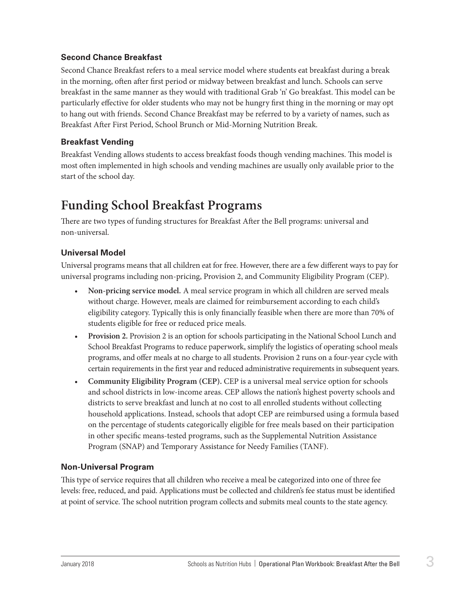### <span id="page-4-0"></span>**Second Chance Breakfast**

Second Chance Breakfast refers to a meal service model where students eat breakfast during a break in the morning, often after first period or midway between breakfast and lunch. Schools can serve breakfast in the same manner as they would with traditional Grab 'n' Go breakfast. This model can be particularly effective for older students who may not be hungry first thing in the morning or may opt to hang out with friends. Second Chance Breakfast may be referred to by a variety of names, such as Breakfast After First Period, School Brunch or Mid-Morning Nutrition Break.

### **Breakfast Vending**

Breakfast Vending allows students to access breakfast foods though vending machines. This model is most often implemented in high schools and vending machines are usually only available prior to the start of the school day.

## **Funding School Breakfast Programs**

There are two types of funding structures for Breakfast After the Bell programs: universal and non-universal.

### **Universal Model**

Universal programs means that all children eat for free. However, there are a few different ways to pay for universal programs including non-pricing, Provision 2, and Community Eligibility Program (CEP).

- **Non-pricing service model.** A meal service program in which all children are served meals without charge. However, meals are claimed for reimbursement according to each child's eligibility category. Typically this is only financially feasible when there are more than 70% of students eligible for free or reduced price meals.
- **Provision 2.** Provision 2 is an option for schools participating in the National School Lunch and School Breakfast Programs to reduce paperwork, simplify the logistics of operating school meals programs, and offer meals at no charge to all students. Provision 2 runs on a four-year cycle with certain requirements in the first year and reduced administrative requirements in subsequent years.
- **Community Eligibility Program (CEP).** CEP is a universal meal service option for schools and school districts in low-income areas. CEP allows the nation's highest poverty schools and districts to serve breakfast and lunch at no cost to all enrolled students without collecting household applications. Instead, schools that adopt CEP are reimbursed using a formula based on the percentage of students categorically eligible for free meals based on their participation in other specific means-tested programs, such as the Supplemental Nutrition Assistance Program (SNAP) and Temporary Assistance for Needy Families (TANF).

### **Non-Universal Program**

This type of service requires that all children who receive a meal be categorized into one of three fee levels: free, reduced, and paid. Applications must be collected and children's fee status must be identified at point of service. The school nutrition program collects and submits meal counts to the state agency.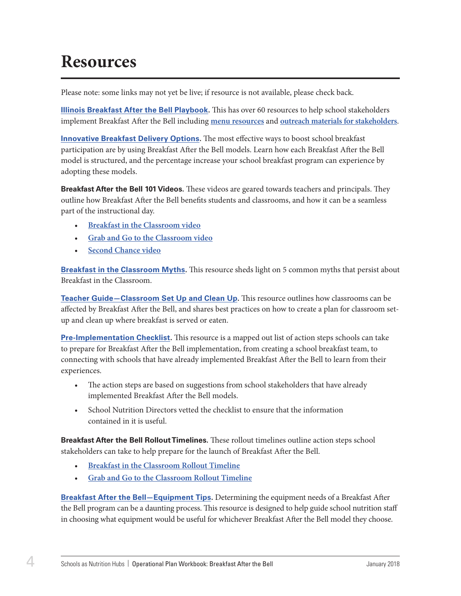# <span id="page-5-0"></span>**Resources**

Please note: some links may not yet be live; if resource is not available, please check back.

**Illinois [Breakfast After the Bell Playbook.](https://drive.google.com/file/d/0B9w69ldXjvuAcUVSRjNQLWtfaE0/view)** This has over 60 resources to help school stakeholders implement Breakfast After the Bell including **[menu resources](https://drive.google.com/file/d/0B9w69ldXjvuASjVxZ3lMYWRiZk0/view)** and **[outreach materials for stakeholders](https://drive.google.com/file/d/0B9w69ldXjvuARjZtT0Y3ekZXNHM/view)**.

**[Innovative Breakfast Delivery Options.](http://bestpractices.nokidhungry.org/resource-center/download?id=0B2DlBiC2i6EHVzBNdlVrakFLeWs)** The most effective ways to boost school breakfast participation are by using Breakfast After the Bell models. Learn how each Breakfast After the Bell model is structured, and the percentage increase your school breakfast program can experience by adopting these models.

**Breakfast After the Bell 101 Videos.** These videos are geared towards teachers and principals. They outline how Breakfast After the Bell benefits students and classrooms, and how it can be a seamless part of the instructional day.

- **[Breakfast in the Classroom video](https://www.youtube.com/watch?v=Toh4DU3YtLk)**
- **[Grab and Go to the Classroom video](https://www.youtube.com/watch?v=77tJ-OXWbGs)**
- **[Second Chance video](https://www.youtube.com/watch?v=UMK5Hwk3jek)**

**[Breakfast in the Classroom Myths.](http://bestpractices.nokidhungry.org/resource-center/download?id=0B2DlBiC2i6EHM3B3aWJNNVl2S0U)** This resource sheds light on 5 common myths that persist about Breakfast in the Classroom.

**[Teacher Guide—Classroom Set Up and Clean Up](http://bestpractices.nokidhungry.org/resource-center/download?id=0B2DlBiC2i6EHbFhrN0lGNVhxVUU).** This resource outlines how classrooms can be affected by Breakfast After the Bell, and shares best practices on how to create a plan for classroom setup and clean up where breakfast is served or eaten.

**[Pre-Implementation Checklist](http://bestpractices.nokidhungry.org/resource-center/download?id=0B2DlBiC2i6EHMFl6el96V0hmeVU).** This resource is a mapped out list of action steps schools can take to prepare for Breakfast After the Bell implementation, from creating a school breakfast team, to connecting with schools that have already implemented Breakfast After the Bell to learn from their experiences.

- The action steps are based on suggestions from school stakeholders that have already implemented Breakfast After the Bell models.
- School Nutrition Directors vetted the checklist to ensure that the information contained in it is useful.

**Breakfast After the Bell Rollout Timelines.** These rollout timelines outline action steps school stakeholders can take to help prepare for the launch of Breakfast After the Bell.

- **[Breakfast in the Classroom Rollout Timeline](http://bestpractices.nokidhungry.org/resource-center/download?id=0B2DlBiC2i6EHRTR3OU9ic0k4UEE)**
- **[Grab and Go to the Classroom Rollout Timeline](http://bestpractices.nokidhungry.org/resource-center/download?id=0B2DlBiC2i6EHd1RtcEp5bHRoS0E)**

**[Breakfast After the Bell—Equipment Tips.](http://bestpractices.nokidhungry.org/resource-center/download?id=0B2DlBiC2i6EHTm53SUR4TEMwX28)** Determining the equipment needs of a Breakfast After the Bell program can be a daunting process. This resource is designed to help guide school nutrition staff in choosing what equipment would be useful for whichever Breakfast After the Bell model they choose.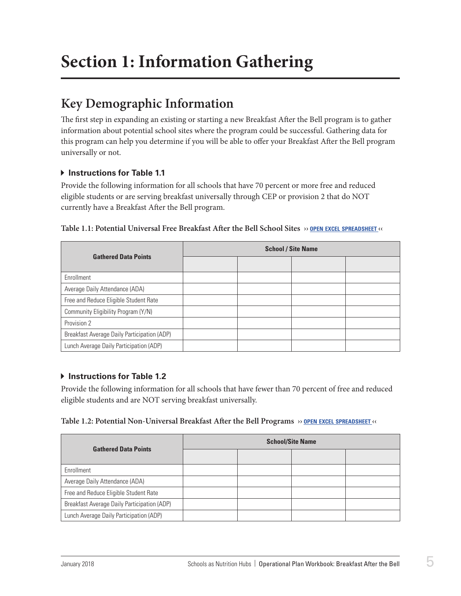# <span id="page-6-0"></span>**Section 1: Information Gathering**

## **Key Demographic Information**

The first step in expanding an existing or starting a new Breakfast After the Bell program is to gather information about potential school sites where the program could be successful. Gathering data for this program can help you determine if you will be able to offer your Breakfast After the Bell program universally or not.

### **Instructions for Table 1.1**

Provide the following information for all schools that have 70 percent or more free and reduced eligible students or are serving breakfast universally through CEP or provision 2 that do NOT currently have a Breakfast After the Bell program.

| <b>Gathered Data Points</b>                 | <b>School / Site Name</b> |  |  |  |
|---------------------------------------------|---------------------------|--|--|--|
|                                             |                           |  |  |  |
| Enrollment                                  |                           |  |  |  |
| Average Daily Attendance (ADA)              |                           |  |  |  |
| Free and Reduce Eligible Student Rate       |                           |  |  |  |
| Community Eligibility Program (Y/N)         |                           |  |  |  |
| Provision 2                                 |                           |  |  |  |
| Breakfast Average Daily Participation (ADP) |                           |  |  |  |
| Lunch Average Daily Participation (ADP)     |                           |  |  |  |

### **Table 1.1: Potential Universal Free Breakfast After the Bell School Sites ›› open excel [spreadsheet](https://schoolnutrition.org/uploadedFiles/2_Meetings_and_Events/SNF/Pages/breakfast-LR-121417.xlsx) ‹‹**

### **Instructions for Table 1.2**

Provide the following information for all schools that have fewer than 70 percent of free and reduced eligible students and are NOT serving breakfast universally.

### **Table 1.2: Potential Non-Universal Breakfast After the Bell Programs ›› open excel [spreadsheet](https://schoolnutrition.org/uploadedFiles/2_Meetings_and_Events/SNF/Pages/breakfast-LR-121417.xlsx) ‹‹**

| <b>Gathered Data Points</b>                 | <b>School/Site Name</b> |  |  |  |
|---------------------------------------------|-------------------------|--|--|--|
|                                             |                         |  |  |  |
| Enrollment                                  |                         |  |  |  |
| Average Daily Attendance (ADA)              |                         |  |  |  |
| Free and Reduce Eligible Student Rate       |                         |  |  |  |
| Breakfast Average Daily Participation (ADP) |                         |  |  |  |
| Lunch Average Daily Participation (ADP)     |                         |  |  |  |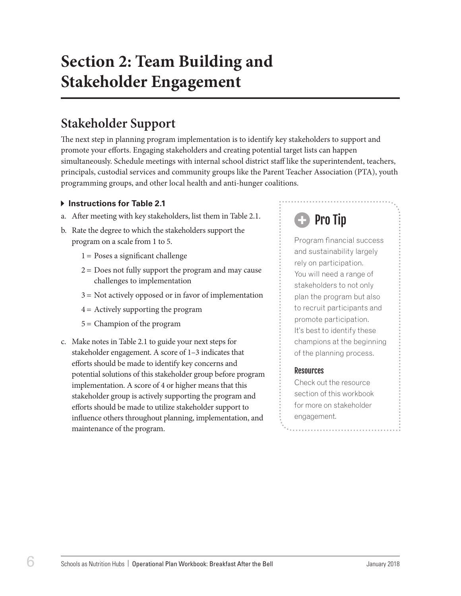# <span id="page-7-0"></span>**Section 2: Team Building and Stakeholder Engagement**

## **Stakeholder Support**

The next step in planning program implementation is to identify key stakeholders to support and promote your efforts. Engaging stakeholders and creating potential target lists can happen simultaneously. Schedule meetings with internal school district staff like the superintendent, teachers, principals, custodial services and community groups like the Parent Teacher Association (PTA), youth programming groups, and other local health and anti-hunger coalitions.

### **Instructions for Table 2.1**

- a. After meeting with key stakeholders, list them in Table 2.1.
- b. Rate the degree to which the stakeholders support the program on a scale from 1 to 5.
	- $1 =$  Poses a significant challenge
	- $2 =$  Does not fully support the program and may cause challenges to implementation
	- 3 = Not actively opposed or in favor of implementation
	- 4 = Actively supporting the program
	- 5 = Champion of the program
- c. Make notes in Table 2.1 to guide your next steps for stakeholder engagement. A score of 1–3 indicates that efforts should be made to identify key concerns and potential solutions of this stakeholder group before program implementation. A score of 4 or higher means that this stakeholder group is actively supporting the program and efforts should be made to utilize stakeholder support to influence others throughout planning, implementation, and maintenance of the program.

# Pro Tip

Program financial success and sustainability largely rely on participation. You will need a range of stakeholders to not only plan the program but also to recruit participants and promote participation. It's best to identify these champions at the beginning of the planning process.

### **Resources**

Check out the resource section of this workbook for more on stakeholder engagement.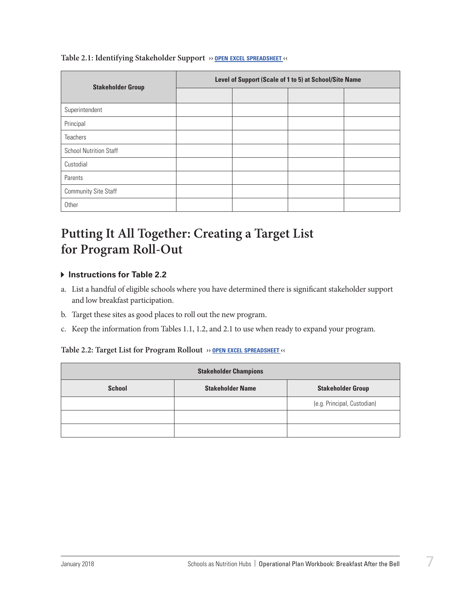<span id="page-8-0"></span>

| Table 2.1: Identifying Stakeholder Support >> OPEN EXCEL SPREADSHEET << |  |  |  |  |  |
|-------------------------------------------------------------------------|--|--|--|--|--|
|-------------------------------------------------------------------------|--|--|--|--|--|

| <b>Stakeholder Group</b>      | Level of Support (Scale of 1 to 5) at School/Site Name |  |  |  |
|-------------------------------|--------------------------------------------------------|--|--|--|
|                               |                                                        |  |  |  |
| Superintendent                |                                                        |  |  |  |
| Principal                     |                                                        |  |  |  |
| <b>Teachers</b>               |                                                        |  |  |  |
| <b>School Nutrition Staff</b> |                                                        |  |  |  |
| Custodial                     |                                                        |  |  |  |
| Parents                       |                                                        |  |  |  |
| <b>Community Site Staff</b>   |                                                        |  |  |  |
| Other                         |                                                        |  |  |  |

## **Putting It All Together: Creating a Target List for Program Roll-Out**

### **Instructions for Table 2.2**

- a. List a handful of eligible schools where you have determined there is significant stakeholder support and low breakfast participation.
- b. Target these sites as good places to roll out the new program.
- c. Keep the information from Tables 1.1, 1.2, and 2.1 to use when ready to expand your program.

### **Table 2.2: Target List for Program Rollout ›› open excel [spreadsheet](https://schoolnutrition.org/uploadedFiles/2_Meetings_and_Events/SNF/Pages/breakfast-LR-121417.xlsx) ‹‹**

| <b>Stakeholder Champions</b> |                          |                             |  |  |  |  |
|------------------------------|--------------------------|-----------------------------|--|--|--|--|
| <b>School</b>                | <b>Stakeholder Group</b> |                             |  |  |  |  |
|                              |                          | (e.g. Principal, Custodian) |  |  |  |  |
|                              |                          |                             |  |  |  |  |
|                              |                          |                             |  |  |  |  |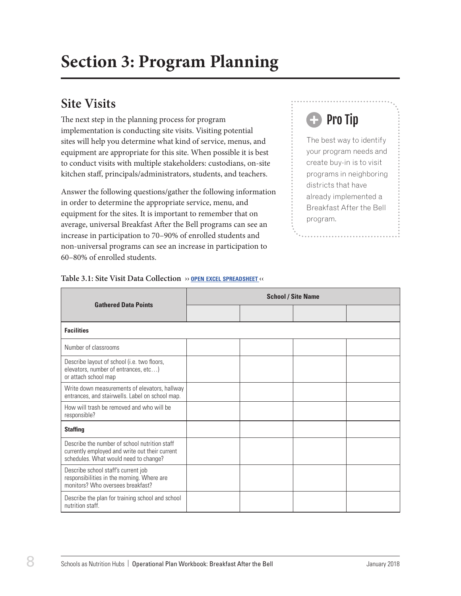# <span id="page-9-0"></span>**Site Visits**

The next step in the planning process for program implementation is conducting site visits. Visiting potential sites will help you determine what kind of service, menus, and equipment are appropriate for this site. When possible it is best to conduct visits with multiple stakeholders: custodians, on-site kitchen staff, principals/administrators, students, and teachers.

Answer the following questions/gather the following information in order to determine the appropriate service, menu, and equipment for the sites. It is important to remember that on average, universal Breakfast After the Bell programs can see an increase in participation to 70–90% of enrolled students and non-universal programs can see an increase in participation to 60–80% of enrolled students.

# Pro Tip

The best way to identify your program needs and create buy-in is to visit programs in neighboring districts that have already implemented a Breakfast After the Bell program.

| <b>Gathered Data Points</b>                                                                                                              | <b>School / Site Name</b> |  |  |  |
|------------------------------------------------------------------------------------------------------------------------------------------|---------------------------|--|--|--|
|                                                                                                                                          |                           |  |  |  |
| <b>Facilities</b>                                                                                                                        |                           |  |  |  |
| Number of classrooms                                                                                                                     |                           |  |  |  |
| Describe layout of school (i.e. two floors,<br>elevators, number of entrances, etc)<br>or attach school map                              |                           |  |  |  |
| Write down measurements of elevators, hallway<br>entrances, and stairwells. Label on school map.                                         |                           |  |  |  |
| How will trash be removed and who will be<br>responsible?                                                                                |                           |  |  |  |
| <b>Staffing</b>                                                                                                                          |                           |  |  |  |
| Describe the number of school nutrition staff<br>currently employed and write out their current<br>schedules. What would need to change? |                           |  |  |  |
| Describe school staff's current job<br>responsibilities in the morning. Where are<br>monitors? Who oversees breakfast?                   |                           |  |  |  |
| Describe the plan for training school and school<br>nutrition staff.                                                                     |                           |  |  |  |

### **Table 3.1: Site Visit Data Collection ›› open excel [spreadsheet](https://schoolnutrition.org/uploadedFiles/2_Meetings_and_Events/SNF/Pages/breakfast-LR-121417.xlsx) ‹‹**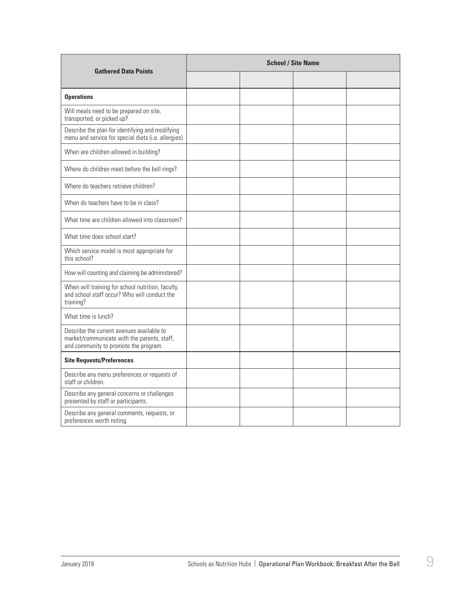|                                                                                                                                   | <b>School / Site Name</b> |  |  |  |
|-----------------------------------------------------------------------------------------------------------------------------------|---------------------------|--|--|--|
| <b>Gathered Data Points</b>                                                                                                       |                           |  |  |  |
| <b>Operations</b>                                                                                                                 |                           |  |  |  |
| Will meals need to be prepared on site,<br>transported, or picked up?                                                             |                           |  |  |  |
| Describe the plan for identifying and modifying<br>menu and service for special diets (i.e. allergies)                            |                           |  |  |  |
| When are children allowed in building?                                                                                            |                           |  |  |  |
| Where do children meet before the bell rings?                                                                                     |                           |  |  |  |
| Where do teachers retrieve children?                                                                                              |                           |  |  |  |
| When do teachers have to be in class?                                                                                             |                           |  |  |  |
| What time are children allowed into classroom?                                                                                    |                           |  |  |  |
| What time does school start?                                                                                                      |                           |  |  |  |
| Which service model is most appropriate for<br>this school?                                                                       |                           |  |  |  |
| How will counting and claiming be administered?                                                                                   |                           |  |  |  |
| When will training for school nutrition, faculty,<br>and school staff occur? Who will conduct the<br>training?                    |                           |  |  |  |
| What time is lunch?                                                                                                               |                           |  |  |  |
| Describe the current avenues available to<br>market/communicate with the parents, staff,<br>and community to promote the program. |                           |  |  |  |
| <b>Site Requests/Preferences</b>                                                                                                  |                           |  |  |  |
| Describe any menu preferences or requests of<br>staff or children.                                                                |                           |  |  |  |
| Describe any general concerns or challenges<br>presented by staff or participants.                                                |                           |  |  |  |
| Describe any general comments, requests, or<br>preferences worth noting.                                                          |                           |  |  |  |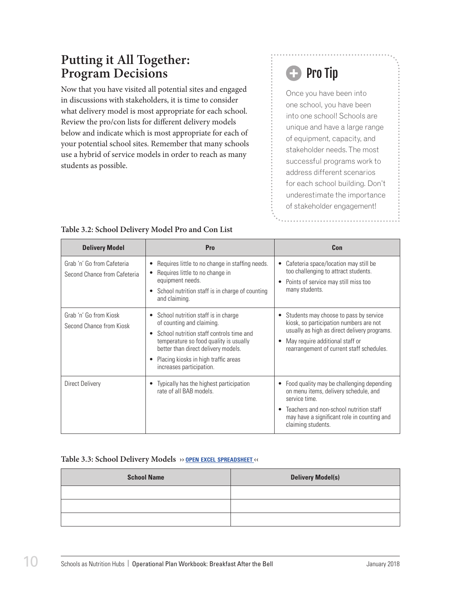## <span id="page-11-0"></span>**Putting it All Together: Program Decisions**

Now that you have visited all potential sites and engaged in discussions with stakeholders, it is time to consider what delivery model is most appropriate for each school. Review the pro/con lists for different delivery models below and indicate which is most appropriate for each of your potential school sites. Remember that many schools use a hybrid of service models in order to reach as many students as possible.

# **B** Pro Tip

Once you have been into one school, you have been into one school! Schools are unique and have a large range of equipment, capacity, and stakeholder needs. The most successful programs work to address different scenarios for each school building. Don't underestimate the importance of stakeholder engagement!

| <b>Delivery Model</b>                                      | Pro                                                                                                                                                                                                                                                                 | Con                                                                                                                                                                                                                      |
|------------------------------------------------------------|---------------------------------------------------------------------------------------------------------------------------------------------------------------------------------------------------------------------------------------------------------------------|--------------------------------------------------------------------------------------------------------------------------------------------------------------------------------------------------------------------------|
| Grab 'n' Go from Cafeteria<br>Second Chance from Cafeteria | Requires little to no change in staffing needs.<br>Requires little to no change in<br>equipment needs.<br>• School nutrition staff is in charge of counting<br>and claiming.                                                                                        | Cafeteria space/location may still be<br>too challenging to attract students.<br>Points of service may still miss too<br>many students.                                                                                  |
| Grab 'n' Go from Kiosk<br>Second Chance from Kiosk         | • School nutrition staff is in charge<br>of counting and claiming.<br>School nutrition staff controls time and<br>temperature so food quality is usually<br>better than direct delivery models.<br>Placing kiosks in high traffic areas<br>increases participation. | Students may choose to pass by service<br>kiosk, so participation numbers are not<br>usually as high as direct delivery programs.<br>May require additional staff or<br>rearrangement of current staff schedules.        |
| <b>Direct Delivery</b>                                     | Typically has the highest participation<br>rate of all BAB models.                                                                                                                                                                                                  | Food quality may be challenging depending<br>٠<br>on menu items, delivery schedule, and<br>service time.<br>Teachers and non-school nutrition staff<br>may have a significant role in counting and<br>claiming students. |

## **Table 3.2: School Delivery Model Pro and Con List**

#### **Table 3.3: School Delivery Models ›› open excel [spreadsheet](https://schoolnutrition.org/uploadedFiles/2_Meetings_and_Events/SNF/Pages/breakfast-LR-121417.xlsx) ‹‹**

| <b>School Name</b> | <b>Delivery Model(s)</b> |
|--------------------|--------------------------|
|                    |                          |
|                    |                          |
|                    |                          |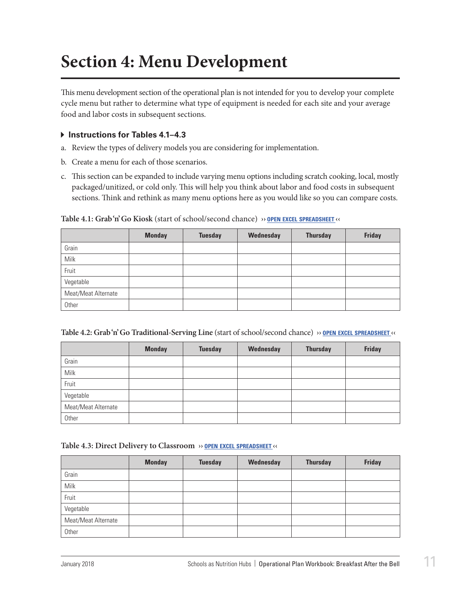# <span id="page-12-0"></span>**Section 4: Menu Development**

This menu development section of the operational plan is not intended for you to develop your complete cycle menu but rather to determine what type of equipment is needed for each site and your average food and labor costs in subsequent sections.

### **Instructions for Tables 4.1–4.3**

- a. Review the types of delivery models you are considering for implementation.
- b. Create a menu for each of those scenarios.
- c. This section can be expanded to include varying menu options including scratch cooking, local, mostly packaged/unitized, or cold only. This will help you think about labor and food costs in subsequent sections. Think and rethink as many menu options here as you would like so you can compare costs.

|                     | <b>Monday</b> | <b>Tuesday</b> | Wednesday | <b>Thursday</b> | <b>Friday</b> |
|---------------------|---------------|----------------|-----------|-----------------|---------------|
| Grain               |               |                |           |                 |               |
| Milk                |               |                |           |                 |               |
| Fruit               |               |                |           |                 |               |
| Vegetable           |               |                |           |                 |               |
| Meat/Meat Alternate |               |                |           |                 |               |
| Other               |               |                |           |                 |               |

**Table 4.1: Grab 'n' Go Kiosk** (start of school/second chance) **›› open excel [spreadsheet](https://schoolnutrition.org/uploadedFiles/2_Meetings_and_Events/SNF/Pages/breakfast-LR-121417.xlsx) ‹‹**

|                     | <b>Monday</b> | <b>Tuesday</b> | Wednesday | <b>Thursday</b> | <b>Friday</b> |
|---------------------|---------------|----------------|-----------|-----------------|---------------|
| Grain               |               |                |           |                 |               |
| Milk                |               |                |           |                 |               |
| Fruit               |               |                |           |                 |               |
| Vegetable           |               |                |           |                 |               |
| Meat/Meat Alternate |               |                |           |                 |               |
| Other               |               |                |           |                 |               |

#### **Table 4.3: Direct Delivery to Classroom ›› open excel [spreadsheet](https://schoolnutrition.org/uploadedFiles/2_Meetings_and_Events/SNF/Pages/breakfast-LR-121417.xlsx) ‹‹**

|                     | <b>Monday</b> | <b>Tuesday</b> | Wednesday | <b>Thursday</b> | <b>Friday</b> |
|---------------------|---------------|----------------|-----------|-----------------|---------------|
| Grain               |               |                |           |                 |               |
| Milk                |               |                |           |                 |               |
| Fruit               |               |                |           |                 |               |
| Vegetable           |               |                |           |                 |               |
| Meat/Meat Alternate |               |                |           |                 |               |
| Other               |               |                |           |                 |               |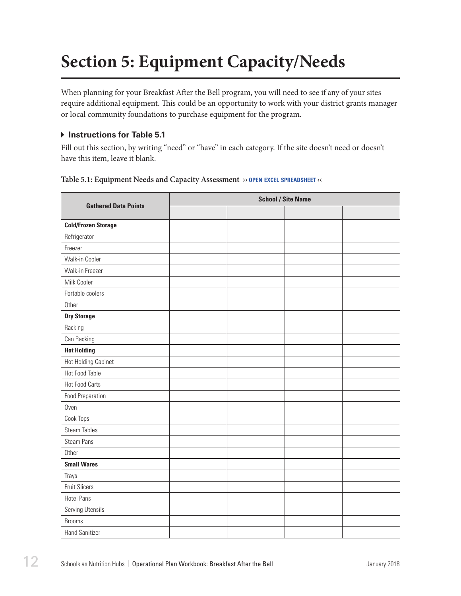# <span id="page-13-0"></span>**Section 5: Equipment Capacity/Needs**

When planning for your Breakfast After the Bell program, you will need to see if any of your sites require additional equipment. This could be an opportunity to work with your district grants manager or local community foundations to purchase equipment for the program.

### **Instructions for Table 5.1**

Fill out this section, by writing "need" or "have" in each category. If the site doesn't need or doesn't have this item, leave it blank.

| <b>Gathered Data Points</b> | <b>School / Site Name</b> |  |  |  |  |  |
|-----------------------------|---------------------------|--|--|--|--|--|
|                             |                           |  |  |  |  |  |
| <b>Cold/Frozen Storage</b>  |                           |  |  |  |  |  |
| Refrigerator                |                           |  |  |  |  |  |
| Freezer                     |                           |  |  |  |  |  |
| Walk-in Cooler              |                           |  |  |  |  |  |
| Walk-in Freezer             |                           |  |  |  |  |  |
| Milk Cooler                 |                           |  |  |  |  |  |
| Portable coolers            |                           |  |  |  |  |  |
| Other                       |                           |  |  |  |  |  |
| <b>Dry Storage</b>          |                           |  |  |  |  |  |
| Racking                     |                           |  |  |  |  |  |
| Can Racking                 |                           |  |  |  |  |  |
| <b>Hot Holding</b>          |                           |  |  |  |  |  |
| Hot Holding Cabinet         |                           |  |  |  |  |  |
| Hot Food Table              |                           |  |  |  |  |  |
| <b>Hot Food Carts</b>       |                           |  |  |  |  |  |
| <b>Food Preparation</b>     |                           |  |  |  |  |  |
| Oven                        |                           |  |  |  |  |  |
| Cook Tops                   |                           |  |  |  |  |  |
| <b>Steam Tables</b>         |                           |  |  |  |  |  |
| <b>Steam Pans</b>           |                           |  |  |  |  |  |
| Other                       |                           |  |  |  |  |  |
| <b>Small Wares</b>          |                           |  |  |  |  |  |
| Trays                       |                           |  |  |  |  |  |
| <b>Fruit Slicers</b>        |                           |  |  |  |  |  |
| <b>Hotel Pans</b>           |                           |  |  |  |  |  |
| Serving Utensils            |                           |  |  |  |  |  |
| <b>Brooms</b>               |                           |  |  |  |  |  |
| <b>Hand Sanitizer</b>       |                           |  |  |  |  |  |

**Table 5.1: Equipment Needs and Capacity Assessment ›› open excel [spreadsheet](https://schoolnutrition.org/uploadedFiles/2_Meetings_and_Events/SNF/Pages/breakfast-LR-121417.xlsx) ‹‹**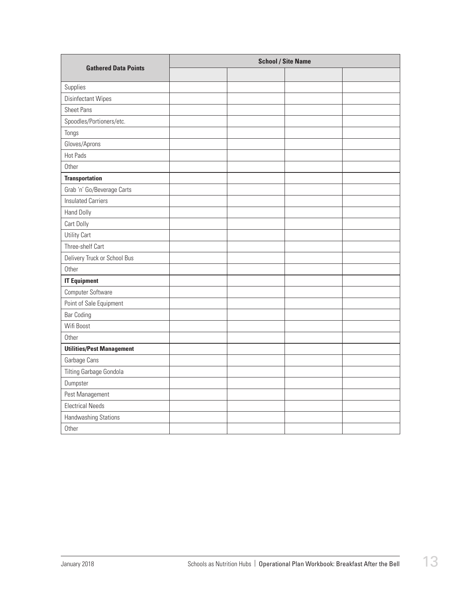| <b>Gathered Data Points</b>      | <b>School / Site Name</b> |  |  |  |
|----------------------------------|---------------------------|--|--|--|
|                                  |                           |  |  |  |
| Supplies                         |                           |  |  |  |
| Disinfectant Wipes               |                           |  |  |  |
| <b>Sheet Pans</b>                |                           |  |  |  |
| Spoodles/Portioners/etc.         |                           |  |  |  |
| Tongs                            |                           |  |  |  |
| Gloves/Aprons                    |                           |  |  |  |
| Hot Pads                         |                           |  |  |  |
| Other                            |                           |  |  |  |
| <b>Transportation</b>            |                           |  |  |  |
| Grab 'n' Go/Beverage Carts       |                           |  |  |  |
| <b>Insulated Carriers</b>        |                           |  |  |  |
| <b>Hand Dolly</b>                |                           |  |  |  |
| Cart Dolly                       |                           |  |  |  |
| Utility Cart                     |                           |  |  |  |
| Three-shelf Cart                 |                           |  |  |  |
| Delivery Truck or School Bus     |                           |  |  |  |
| Other                            |                           |  |  |  |
| <b>IT Equipment</b>              |                           |  |  |  |
| Computer Software                |                           |  |  |  |
| Point of Sale Equipment          |                           |  |  |  |
| <b>Bar Coding</b>                |                           |  |  |  |
| Wifi Boost                       |                           |  |  |  |
| Other                            |                           |  |  |  |
| <b>Utilities/Pest Management</b> |                           |  |  |  |
| Garbage Cans                     |                           |  |  |  |
| Tilting Garbage Gondola          |                           |  |  |  |
| Dumpster                         |                           |  |  |  |
| Pest Management                  |                           |  |  |  |
| <b>Electrical Needs</b>          |                           |  |  |  |
| Handwashing Stations             |                           |  |  |  |
| Other                            |                           |  |  |  |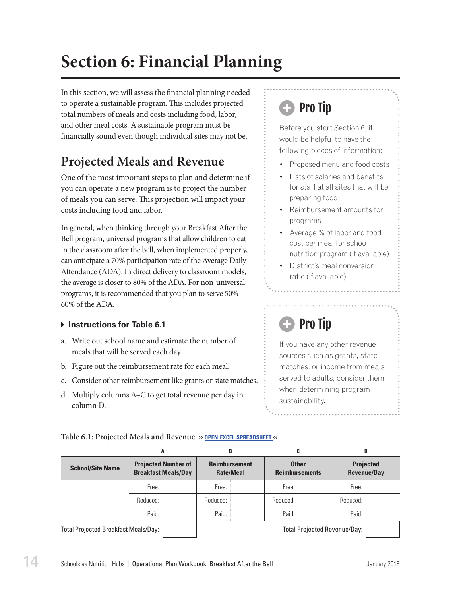# <span id="page-15-0"></span>**Section 6: Financial Planning**

In this section, we will assess the financial planning needed to operate a sustainable program. This includes projected total numbers of meals and costs including food, labor, and other meal costs. A sustainable program must be financially sound even though individual sites may not be.

# **Projected Meals and Revenue**

One of the most important steps to plan and determine if you can operate a new program is to project the number of meals you can serve. This projection will impact your costs including food and labor.

In general, when thinking through your Breakfast After the Bell program, universal programs that allow children to eat in the classroom after the bell, when implemented properly, can anticipate a 70% participation rate of the Average Daily Attendance (ADA). In direct delivery to classroom models, the average is closer to 80% of the ADA. For non-universal programs, it is recommended that you plan to serve 50%– 60% of the ADA.

## $\triangleright$  Instructions for Table 6.1

- a. Write out school name and estimate the number of meals that will be served each day.
- b. Figure out the reimbursement rate for each meal.
- c. Consider other reimbursement like grants or state matches.
- d. Multiply columns A–C to get total revenue per day in column D.

# Pro Tip

Before you start Section 6, it would be helpful to have the following pieces of information:

- Proposed menu and food costs
- Lists of salaries and benefits for staff at all sites that will be preparing food
- Reimbursement amounts for programs
- Average % of labor and food cost per meal for school nutrition program (if available)
- District's meal conversion ratio (if available)

# Pro Tip

If you have any other revenue sources such as grants, state matches, or income from meals served to adults, consider them when determining program sustainability.

| Table 6.1: Projected Meals and Revenue » OPEN EXCEL SPREADSHEET << |  |
|--------------------------------------------------------------------|--|
|--------------------------------------------------------------------|--|

|                                             | A                                                        | B                                        | C                                     |                                     | D                                      |  |
|---------------------------------------------|----------------------------------------------------------|------------------------------------------|---------------------------------------|-------------------------------------|----------------------------------------|--|
| <b>School/Site Name</b>                     | <b>Projected Number of</b><br><b>Breakfast Meals/Day</b> | <b>Reimbursement</b><br><b>Rate/Meal</b> | <b>Other</b><br><b>Reimbursements</b> |                                     | <b>Projected</b><br><b>Revenue/Day</b> |  |
|                                             | Free:                                                    | Free:                                    | Free:                                 |                                     | Free:                                  |  |
|                                             | Reduced:                                                 | Reduced:                                 | Reduced:                              |                                     | Reduced:                               |  |
|                                             | Paid:                                                    | Paid:                                    | Paid:                                 |                                     | Paid:                                  |  |
| <b>Total Projected Breakfast Meals/Day:</b> |                                                          |                                          |                                       | <b>Total Projected Revenue/Day:</b> |                                        |  |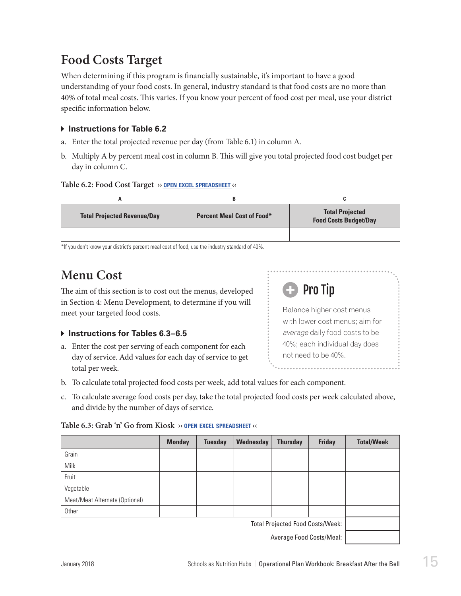# <span id="page-16-0"></span>**Food Costs Target**

When determining if this program is financially sustainable, it's important to have a good understanding of your food costs. In general, industry standard is that food costs are no more than 40% of total meal costs. This varies. If you know your percent of food cost per meal, use your district specific information below.

## **Instructions for Table 6.2**

- a. Enter the total projected revenue per day (from Table 6.1) in column A.
- b. Multiply A by percent meal cost in column B. This will give you total projected food cost budget per day in column C.

### **Table 6.2: Food Cost Target ›› open excel [spreadsheet](https://schoolnutrition.org/uploadedFiles/2_Meetings_and_Events/SNF/Pages/breakfast-LR-121417.xlsx) ‹‹**

|                                    | в                                 |                                                        |
|------------------------------------|-----------------------------------|--------------------------------------------------------|
| <b>Total Projected Revenue/Day</b> | <b>Percent Meal Cost of Food*</b> | <b>Total Projected</b><br><b>Food Costs Budget/Day</b> |
|                                    |                                   |                                                        |

\*If you don't know your district's percent meal cost of food, use the industry standard of 40%.

## **Menu Cost**

The aim of this section is to cost out the menus, developed in Section 4: Menu Development, to determine if you will meet your targeted food costs.

## **Instructions for Tables 6.3–6.5**

a. Enter the cost per serving of each component for each day of service. Add values for each day of service to get total per week.



- b. To calculate total projected food costs per week, add total values for each component.
- c. To calculate average food costs per day, take the total projected food costs per week calculated above, and divide by the number of days of service.

### **Table 6.3: Grab 'n' Go from Kiosk ›› open excel [spreadsheet](https://schoolnutrition.org/uploadedFiles/2_Meetings_and_Events/SNF/Pages/breakfast-LR-121417.xlsx) ‹‹**

|                                         | <b>Monday</b> | <b>Tuesday</b> | Wednesday | <b>Thursday</b> | <b>Friday</b> | <b>Total/Week</b> |
|-----------------------------------------|---------------|----------------|-----------|-----------------|---------------|-------------------|
| Grain                                   |               |                |           |                 |               |                   |
| Milk                                    |               |                |           |                 |               |                   |
| Fruit                                   |               |                |           |                 |               |                   |
| Vegetable                               |               |                |           |                 |               |                   |
| Meat/Meat Alternate (Optional)          |               |                |           |                 |               |                   |
| Other                                   |               |                |           |                 |               |                   |
| <b>Total Projected Food Costs/Week:</b> |               |                |           |                 |               |                   |
| Average Food Costs/Meal:                |               |                |           |                 |               |                   |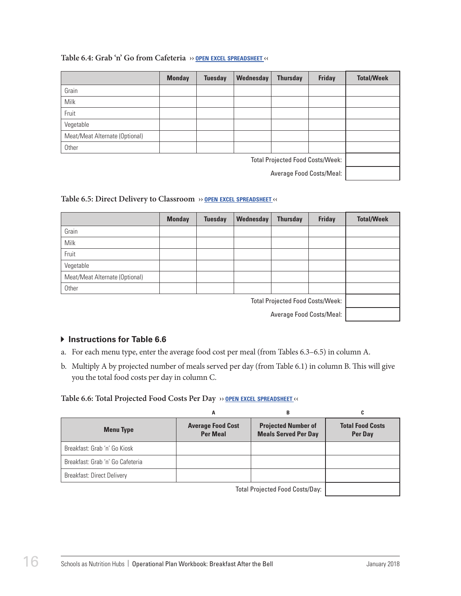#### **Table 6.4: Grab 'n' Go from Cafeteria ›› open excel [spreadsheet](https://schoolnutrition.org/uploadedFiles/2_Meetings_and_Events/SNF/Pages/breakfast-LR-121417.xlsx) ‹‹**

|                                         | <b>Monday</b> | <b>Tuesday</b> | Wednesday | <b>Thursday</b> | <b>Friday</b> | <b>Total/Week</b> |
|-----------------------------------------|---------------|----------------|-----------|-----------------|---------------|-------------------|
| Grain                                   |               |                |           |                 |               |                   |
| Milk                                    |               |                |           |                 |               |                   |
| Fruit                                   |               |                |           |                 |               |                   |
| Vegetable                               |               |                |           |                 |               |                   |
| Meat/Meat Alternate (Optional)          |               |                |           |                 |               |                   |
| Other                                   |               |                |           |                 |               |                   |
| <b>Total Projected Food Costs/Week:</b> |               |                |           |                 |               |                   |
| Average Food Costs/Meal:                |               |                |           |                 |               |                   |

#### **Table 6.5: Direct Delivery to Classroom ›› open excel [spreadsheet](https://schoolnutrition.org/uploadedFiles/2_Meetings_and_Events/SNF/Pages/breakfast-LR-121417.xlsx) ‹‹**

|                                         | <b>Monday</b> | <b>Tuesday</b> | Wednesday | <b>Thursday</b> | <b>Friday</b> | <b>Total/Week</b> |
|-----------------------------------------|---------------|----------------|-----------|-----------------|---------------|-------------------|
| Grain                                   |               |                |           |                 |               |                   |
| Milk                                    |               |                |           |                 |               |                   |
| Fruit                                   |               |                |           |                 |               |                   |
| Vegetable                               |               |                |           |                 |               |                   |
| Meat/Meat Alternate (Optional)          |               |                |           |                 |               |                   |
| Other                                   |               |                |           |                 |               |                   |
| <b>Total Projected Food Costs/Week:</b> |               |                |           |                 |               |                   |
| Average Food Costs/Meal:                |               |                |           |                 |               |                   |

### $\triangleright$  Instructions for Table 6.6

- a. For each menu type, enter the average food cost per meal (from Tables 6.3–6.5) in column A.
- b. Multiply A by projected number of meals served per day (from Table 6.1) in column B. This will give you the total food costs per day in column C.

#### **Table 6.6: Total Projected Food Costs Per Day ›› open excel [spreadsheet](https://schoolnutrition.org/uploadedFiles/2_Meetings_and_Events/SNF/Pages/breakfast-LR-121417.xlsx) ‹‹**

|                                   | А                                           | в                                                         | .,                                 |
|-----------------------------------|---------------------------------------------|-----------------------------------------------------------|------------------------------------|
| <b>Menu Type</b>                  | <b>Average Food Cost</b><br><b>Per Meal</b> | <b>Projected Number of</b><br><b>Meals Served Per Day</b> | <b>Total Food Costs</b><br>Per Day |
| Breakfast: Grab 'n' Go Kiosk      |                                             |                                                           |                                    |
| Breakfast: Grab 'n' Go Cafeteria  |                                             |                                                           |                                    |
| <b>Breakfast: Direct Delivery</b> |                                             |                                                           |                                    |
|                                   |                                             | Total Projected Food Costs/Davi                           |                                    |

Total Projected Food Costs/Day: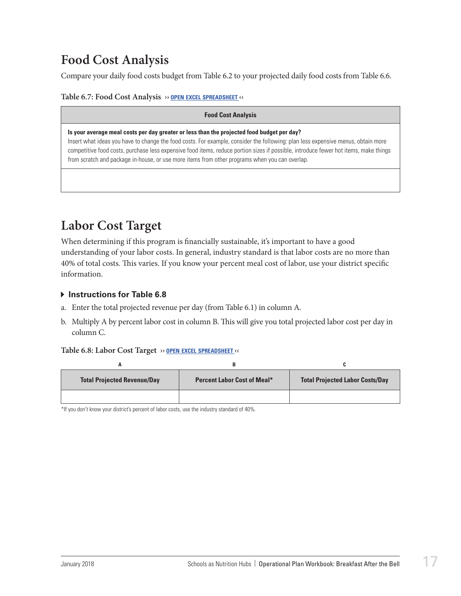# <span id="page-18-0"></span>**Food Cost Analysis**

Compare your daily food costs budget from Table 6.2 to your projected daily food costs from Table 6.6.

**Table 6.7: Food Cost Analysis ›› open excel [spreadsheet](https://schoolnutrition.org/uploadedFiles/2_Meetings_and_Events/SNF/Pages/breakfast-LR-121417.xlsx) ‹‹**

#### **Food Cost Analysis**

**Is your average meal costs per day greater or less than the projected food budget per day?** 

Insert what ideas you have to change the food costs. For example, consider the following: plan less expensive menus, obtain more competitive food costs, purchase less expensive food items, reduce portion sizes if possible, introduce fewer hot items, make things from scratch and package in-house, or use more items from other programs when you can overlap.

## **Labor Cost Target**

When determining if this program is financially sustainable, it's important to have a good understanding of your labor costs. In general, industry standard is that labor costs are no more than 40% of total costs. This varies. If you know your percent meal cost of labor, use your district specific information.

### **Instructions for Table 6.8**

- a. Enter the total projected revenue per day (from Table 6.1) in column A.
- b. Multiply A by percent labor cost in column B. This will give you total projected labor cost per day in column C.

#### **Table 6.8: Labor Cost Target ›› open excel [spreadsheet](https://schoolnutrition.org/uploadedFiles/2_Meetings_and_Events/SNF/Pages/breakfast-LR-121417.xlsx) ‹‹**

| <b>Total Projected Revenue/Day</b> | <b>Percent Labor Cost of Meal*</b> | <b>Total Projected Labor Costs/Day</b> |
|------------------------------------|------------------------------------|----------------------------------------|
|                                    |                                    |                                        |

\*If you don't know your district's percent of labor costs, use the industry standard of 40%.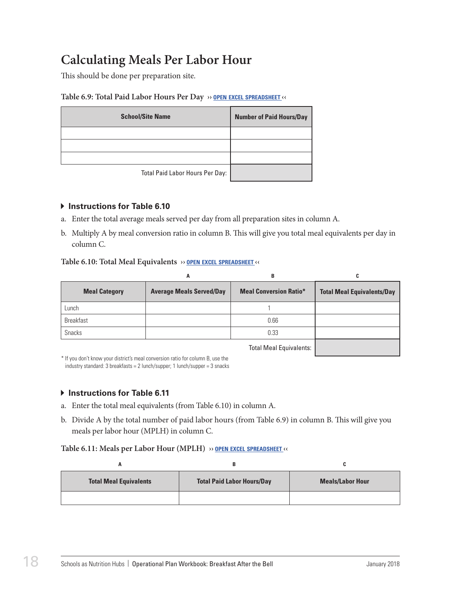# <span id="page-19-0"></span>**Calculating Meals Per Labor Hour**

This should be done per preparation site.

#### **Table 6.9: Total Paid Labor Hours Per Day ›› open excel [spreadsheet](https://schoolnutrition.org/uploadedFiles/2_Meetings_and_Events/SNF/Pages/breakfast-LR-121417.xlsx) ‹‹**

| <b>School/Site Name</b>         | <b>Number of Paid Hours/Day</b> |
|---------------------------------|---------------------------------|
|                                 |                                 |
|                                 |                                 |
|                                 |                                 |
| Total Paid Labor Hours Per Day: |                                 |

#### **Instructions for Table 6.10**

- a. Enter the total average meals served per day from all preparation sites in column A.
- b. Multiply A by meal conversion ratio in column B. This will give you total meal equivalents per day in column C.

#### **Table 6.10: Total Meal Equivalents ›› open excel [spreadsheet](https://schoolnutrition.org/uploadedFiles/2_Meetings_and_Events/SNF/Pages/breakfast-LR-121417.xlsx) ‹‹**

|                      | A                               | в                             | C                                 |
|----------------------|---------------------------------|-------------------------------|-----------------------------------|
| <b>Meal Category</b> | <b>Average Meals Served/Day</b> | <b>Meal Conversion Ratio*</b> | <b>Total Meal Equivalents/Day</b> |
| Lunch                |                                 |                               |                                   |
| <b>Breakfast</b>     |                                 | 0.66                          |                                   |
| Snacks               |                                 | 0.33                          |                                   |
|                      |                                 |                               |                                   |

Total Meal Equivalents:

\* If you don't know your district's meal conversion ratio for column B, use the industry standard: 3 breakfasts = 2 lunch/supper; 1 lunch/supper = 3 snacks

### $\triangleright$  **Instructions for Table 6.11**

- a. Enter the total meal equivalents (from Table 6.10) in column A.
- b. Divide A by the total number of paid labor hours (from Table 6.9) in column B. This will give you meals per labor hour (MPLH) in column C.

#### **Table 6.11: Meals per Labor Hour (MPLH) ›› open excel [spreadsheet](https://schoolnutrition.org/uploadedFiles/2_Meetings_and_Events/SNF/Pages/breakfast-LR-121417.xlsx) ‹‹**

| <b>Total Meal Equivalents</b> | <b>Total Paid Labor Hours/Day</b> | <b>Meals/Labor Hour</b> |
|-------------------------------|-----------------------------------|-------------------------|
|                               |                                   |                         |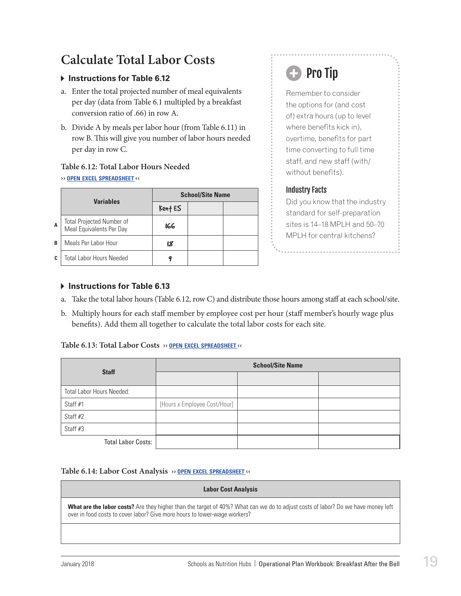# <span id="page-20-0"></span>**Calculate Total Labor Costs**

### **Instructions for Table 6.12**

- a. Enter the total projected number of meal equivalents per day (data from Table 6.1 multipled by a breakfast conversion ratio of .66) in row A.
- b. Divide A by meals per labor hour (from Table 6.11) in row B. This will give you number of labor hours needed per day in row C.

### **Table 6.12: Total Labor Hours Needed**

#### **›› open excel [spreadsheet](https://schoolnutrition.org/uploadedFiles/2_Meetings_and_Events/SNF/Pages/breakfast-LR-121417.xlsx) ‹‹**

|   | <b>Variables</b>                                             | <b>School/Site Name</b> |  |  |
|---|--------------------------------------------------------------|-------------------------|--|--|
|   |                                                              | Kent ES                 |  |  |
| A | <b>Total Projected Number of</b><br>Meal Equivalents Per Day | 166                     |  |  |
| B | Meals Per Labor Hour                                         | នេ                      |  |  |
| C | <b>Total Labor Hours Needed</b>                              |                         |  |  |

# **B** Pro Tip

Remember to consider the options for (and cost of) extra hours (up to level where benefits kick in), overtime, benefits for part time converting to full time staff, and new staff (with/ without benefits).

## Industry Facts

Did you know that the industry standard for self-preparation sites is 14–18 MPLH and 50–70 MPLH for central kitchens?

### **Instructions for Table 6.13**

- a. Take the total labor hours (Table 6.12, row C) and distribute those hours among staff at each school/site.
- b. Multiply hours for each staff member by employee cost per hour (staff member's hourly wage plus benefits). Add them all together to calculate the total labor costs for each site.

#### **Table 6.13: Total Labor Costs ›› open excel [spreadsheet](https://schoolnutrition.org/uploadedFiles/2_Meetings_and_Events/SNF/Pages/breakfast-LR-121417.xlsx) ‹‹**

| <b>Staff</b>              | <b>School/Site Name</b>      |  |  |  |
|---------------------------|------------------------------|--|--|--|
|                           |                              |  |  |  |
| Total Labor Hours Needed: |                              |  |  |  |
| Staff #1                  | [Hours x Employee Cost/Hour] |  |  |  |
| Staff #2                  |                              |  |  |  |
| Staff #3                  |                              |  |  |  |
| <b>Total Labor Costs:</b> |                              |  |  |  |

#### **Table 6.14: Labor Cost Analysis ›› open excel [spreadsheet](https://schoolnutrition.org/uploadedFiles/2_Meetings_and_Events/SNF/Pages/breakfast-LR-121417.xlsx) ‹‹**

#### **Labor Cost Analysis**

**What are the labor costs?** Are they higher than the target of 40%? What can we do to adjust costs of labor? Do we have money left over in food costs to cover labor? Give more hours to lower-wage workers?